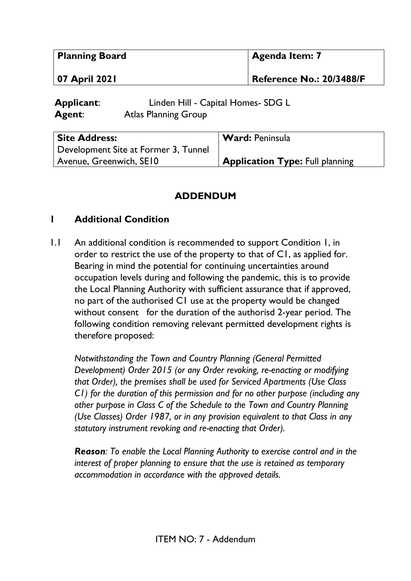| Planning Board                     |                                                                   | <b>Agenda Item: 7</b>           |  |
|------------------------------------|-------------------------------------------------------------------|---------------------------------|--|
| 07 April 2021                      |                                                                   | <b>Reference No.: 20/3488/F</b> |  |
| <b>Applicant:</b><br><b>Agent:</b> | Linden Hill - Capital Homes- SDG L<br><b>Atlas Planning Group</b> |                                 |  |

| <b>Site Address:</b>                 | <b>Ward: Peninsula</b>                 |
|--------------------------------------|----------------------------------------|
| Development Site at Former 3, Tunnel |                                        |
| Avenue, Greenwich, SE10              | <b>Application Type: Full planning</b> |

## **ADDENDUM**

## **1 Additional Condition**

1.1 An additional condition is recommended to support Condition 1, in order to restrict the use of the property to that of C1, as applied for. Bearing in mind the potential for continuing uncertainties around occupation levels during and following the pandemic, this is to provide the Local Planning Authority with sufficient assurance that if approved, no part of the authorised C1 use at the property would be changed without consent for the duration of the authorisd 2-year period. The following condition removing relevant permitted development rights is therefore proposed:

*Notwithstanding the Town and Country Planning (General Permitted Development) Order 2015 (or any Order revoking, re-enacting or modifying that Order), the premises shall be used for Serviced Apartments (Use Class C1) for the duration of this permission and for no other purpose (including any other purpose in Class C of the Schedule to the Town and Country Planning (Use Classes) Order 1987, or in any provision equivalent to that Class in any statutory instrument revoking and re-enacting that Order).* 

*Reason: To enable the Local Planning Authority to exercise control and in the interest of proper planning to ensure that the use is retained as temporary accommodation in accordance with the approved details.*